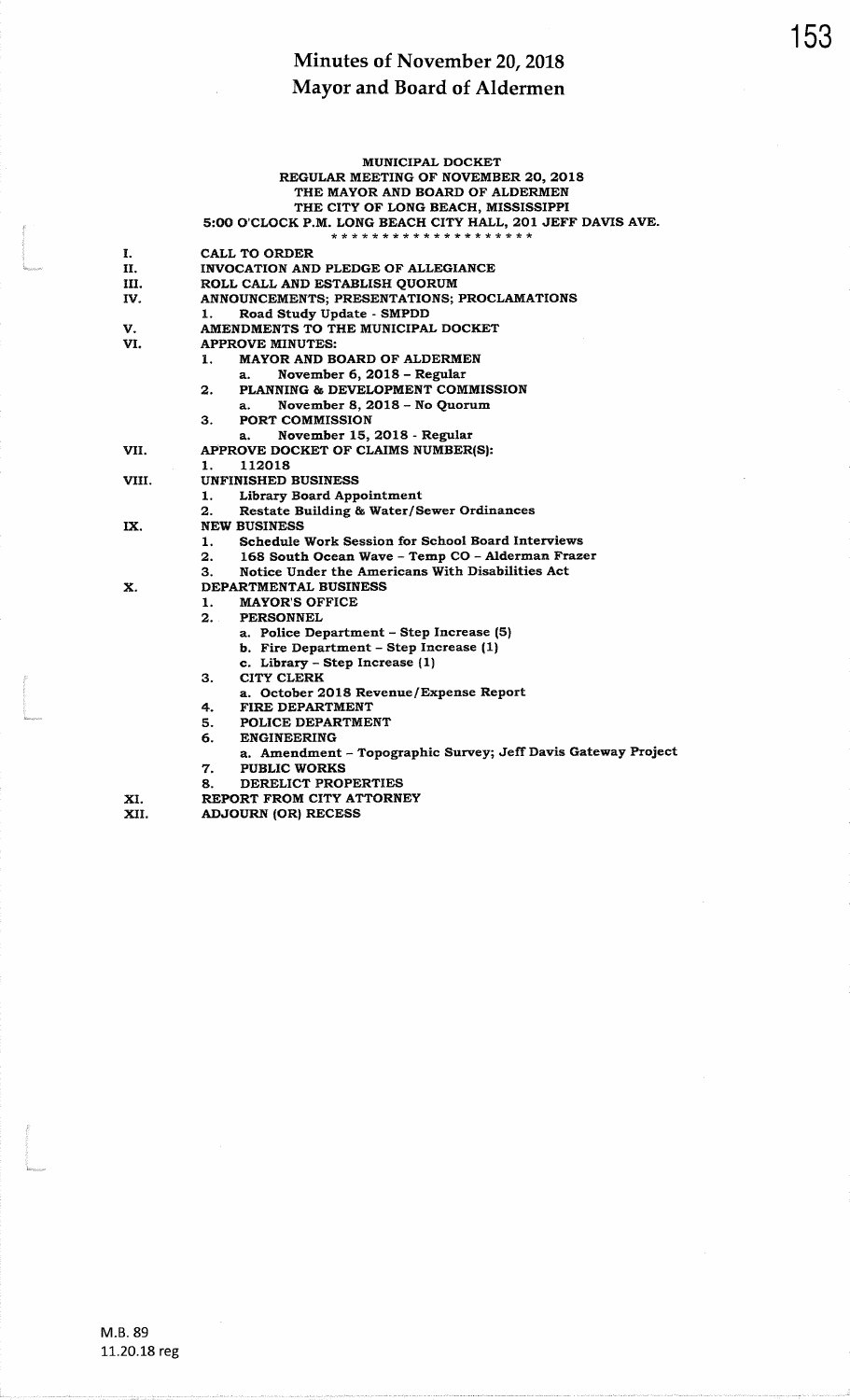|       | <b>MUNICIPAL DOCKET</b>                                            |
|-------|--------------------------------------------------------------------|
|       | REGULAR MEETING OF NOVEMBER 20, 2018                               |
|       | THE MAYOR AND BOARD OF ALDERMEN                                    |
|       | THE CITY OF LONG BEACH, MISSISSIPPI                                |
|       | 5:00 O'CLOCK P.M. LONG BEACH CITY HALL, 201 JEFF DAVIS AVE.        |
|       | * * * * * * * * * * * * * * * * * * * *                            |
| I.    | CALL TO ORDER                                                      |
| II.   | INVOCATION AND PLEDGE OF ALLEGIANCE                                |
| Ш.    | ROLL CALL AND ESTABLISH QUORUM                                     |
| IV.   | ANNOUNCEMENTS; PRESENTATIONS; PROCLAMATIONS                        |
|       | Road Study Update - SMPDD<br>1.                                    |
| V.    | AMENDMENTS TO THE MUNICIPAL DOCKET                                 |
| VI.   | APPROVE MINUTES:                                                   |
|       | <b>MAYOR AND BOARD OF ALDERMEN</b><br>1.                           |
|       | November 6, 2018 - Regular<br>a.                                   |
|       | PLANNING & DEVELOPMENT COMMISSION<br>2.                            |
|       | November 8, 2018 - No Quorum<br>a.                                 |
|       | <b>PORT COMMISSION</b><br>з.                                       |
|       | November 15, 2018 - Regular<br>а.                                  |
| VII.  | APPROVE DOCKET OF CLAIMS NUMBER(S):                                |
|       | 112018<br>1.                                                       |
| VIII. | <b>UNFINISHED BUSINESS</b>                                         |
|       | 1.<br><b>Library Board Appointment</b>                             |
|       | Restate Building & Water/Sewer Ordinances<br>2.                    |
| IX.   | <b>NEW BUSINESS</b>                                                |
|       | Schedule Work Session for School Board Interviews<br>1.            |
|       | 168 South Ocean Wave - Temp CO - Alderman Frazer<br>$\mathbf{2}$ . |
|       | Notice Under the Americans With Disabilities Act<br>З.             |
| X.    | DEPARTMENTAL BUSINESS                                              |
|       | <b>MAYOR'S OFFICE</b><br>1.                                        |
|       | 2.1<br><b>PERSONNEL</b>                                            |
|       | a. Police Department - Step Increase (5)                           |
|       | b. Fire Department - Step Increase (1)                             |
|       | c. Library - Step Increase (1)                                     |
|       | <b>CITY CLERK</b><br>З.                                            |
|       | a. October 2018 Revenue/Expense Report                             |
|       | FIRE DEPARTMENT<br>4.                                              |
|       | 5.<br>POLICE DEPARTMENT                                            |
|       | 6.<br><b>ENGINEERING</b>                                           |
|       | a. Amendment - Topographic Survey; Jeff Davis Gateway Project      |
|       | <b>PUBLIC WORKS</b><br>7.                                          |
|       | 8.<br>DERELICT PROPERTIES                                          |
| XI.   | REPORT FROM CITY ATTORNEY                                          |
| XII.  | <b>ADJOURN (OR) RECESS</b>                                         |
|       |                                                                    |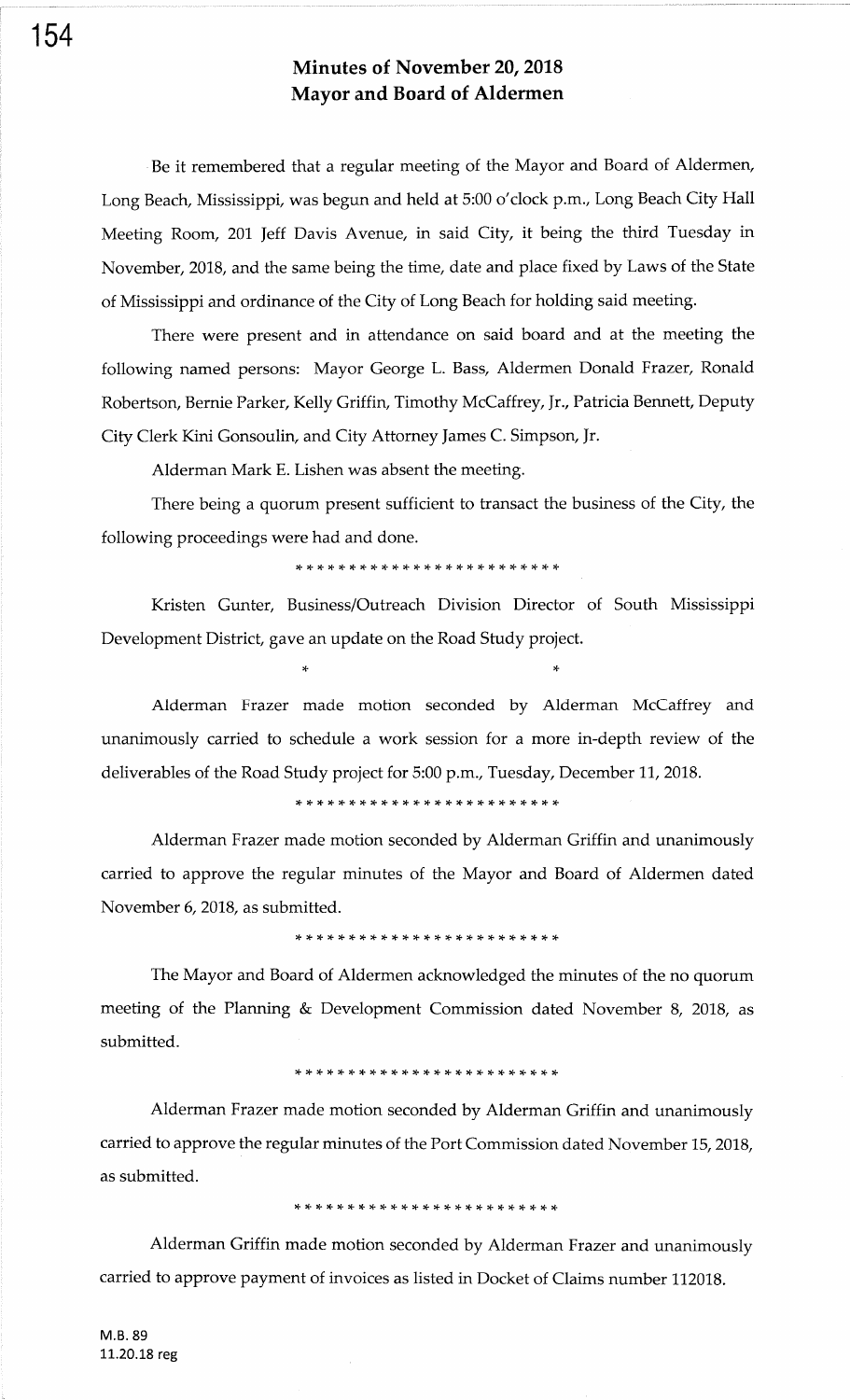Be it remembered that a regular meeting of the Mayor and Board of Aldermen, Long Beach, Mississippi, was begun and held at 5:00 o'clock p.m., Long Beach City Hall Meeting Room, 201 Jeff Davis Avenue, in said City, it being the third Tuesday in November,2018, and the same being the time, date and place fixed by Laws of the State of Mississippi and ordinance of the City of Long Beach for holding said meeting.

There were present and in attendance on said board and at the meeting the following named persons: Mayor George L. Bass, Aldermen Donald Frazer, Ronald Robertson, Bernie Parker, Kelly Griffin, Timothy McCaffrey, Jr., Patricia Bennett, Deputy City Clerk Kini Gonsouliry and City Attorney James C. Simpson, Jr.

Alderman Mark E. Lishen was absent the meeting.

There being a quorum present sufficient to transact the business of the City, the following proceedings were had and done.

)F \* \* \* \* rt \* \* \* \* r+ !F !t \* \* rF rF \* \* rF \* rF \* \* \*

Kristen Gunter, Business/Outreach Division Director of South Mississippi Development District, gave an update on the Road Study project.

 $r$  ) and  $r$  is a set of the set of the set of the set of the set of the set of the set of the set of the set of the set of the set of the set of the set of the set of the set of the set of the set of the set of the set

Alderman Frazer made motion seconded by Alderman McCaffrey and unanimously carried to schedule a work session for <sup>a</sup>more in-depth review of the deliverables of the Road Study project for 5:00 p.m., Tuesday, December 11, 2018.

)t )F \* rE \* )F )F )F )F \* )F \* rF rF \* {- \* rF {. {- rF )F {- \* \*

Alderman Frazer made motion seconded by Alderman Griffin and unanimously carried to approve the regular minutes of the Mayor and Board of Aldermen dated November 6,2018, as submitted.

,f )F rF )F rF rt {. rF \* \* \* \* \* \* \* \* \* \* \* rT \* )F rl. rF rg

The Mayor and Board of Aldermen acknowledged the minutes of the no quorum meeting of the Planning & Development Commission dated November 8, 2018, as submitted.

#### \* rF rF )F \* \* \* \* \* \* \* \* )F rF )F \* rF rt \* )t rt rF rt )t rg

Alderman Frazer made motion seconded by Alderman Griffin and unanimously carried to approve the regular minutes of the Port Commission dated November 15, 2018, as submitted.

### \* \* )t )F \* {- )F \* \* \* \*- rF rF {- )t rF )F \* )F rT rT rT rF rF )&

Alderman Griffin made motion seconded by Alderman Frazer and unanimously carried to approve payment of invoices as listed in Docket of Claims number 112018.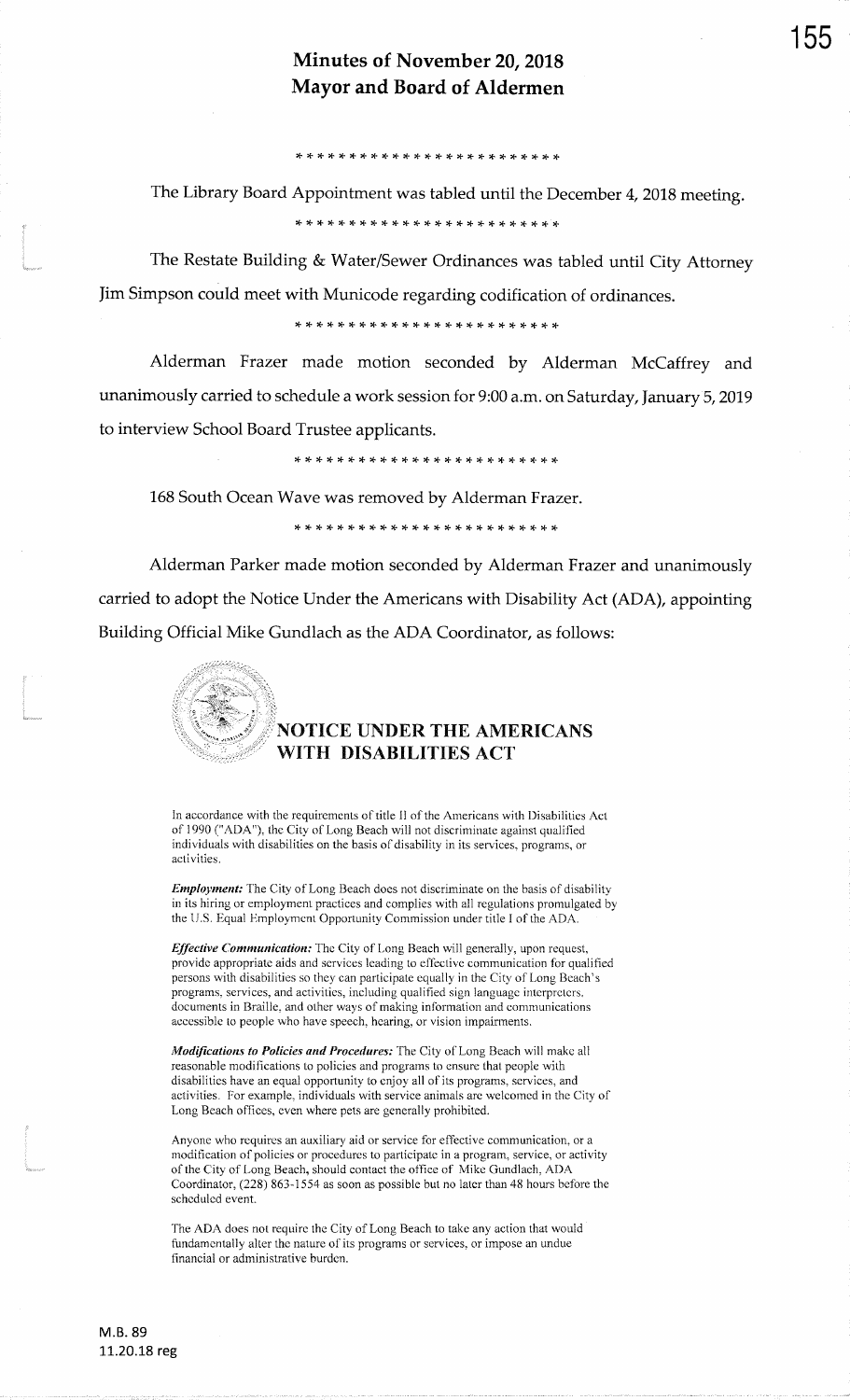\* \* rt )T rt \* \* rt rt rt rF \* \* rf ,t )F rt \* + rt rt rt rF !F \*

The Library Board Appointment was tabled until the December 4,2018 meeting.\* :T rl- \* \* rf )F rF \* \* \* r+ \* !T rF \* \* {. rt rf rF )F r+ \* !T

The Restate Building & Water/Sewer Ordinances was tabled until City AttorneyJim Simpson could meet with Municode regarding codification of ordinances.

,F rt rF \* rF \* \* rt rF {. \* \* \* \* rt \* rF rF rF rF rF rc rF )\* rF

Alderman Frazer made motion seconded by Alderman McCaffrey andunanimously carried to schedule a work session for 9:00 a.m. on Saturday, January 5,2019to interview School Board Trustee applicants.

\* rF )F \* \* \* \* \* \* rF \* rF rF {. rF rF rF {. r+ rC r(. r{. r{. rF rF

168 South Ocean Wave was removed by Alderman Frazer.

\* \* \* \* \* \* \* rt rf )F rt rF \* \* \* \* \* \* \* \* \* {. )T rT r+

Alderman Parker made motion seconded by Alderman Frazer and unanimously carried to adopt the Notice Under the Americans with Disability Act (ADA), appointingBuilding Official Mike Gundlach as the ADA Coordinator, as follows:



L,

### NOTICE UNDER THE AMERICANS WITH DISABILTTIES ACT

In accordance with the requirements of title II of the Americans with Disabilities Ac1of 1990 ("ADA"), the City of Long Beach will not discriminate against qualified individuals with disabilities on the basis of disability in its services, programs, or activities.

Employment: The City of Long Beach does not discriminate on the basis of disability in its hiring or employment practices and complies with all regulations promulgated bythe U.S. Equal Employment Opportunity Commission under title I of the ADA.

Effective Communication: The City of Long Beach will generally, upon request, provide appropriate aids and services leading to effective communication for qualified persons with disabilities so they can participate equally in the City of Long Beach's programs, services, and activities, including qualified sign languagc intcrprctcrs,documents in Braille, and other ways of making information and communications accessible to people who have speech. hearing, or vision impairments.

Modifications to Policies and Procedures; The City of Long Beach will make all reasonable modifications to policies and programs to ensure that people with disabilities have an equal opportunity to cnjoy all of its programs, services, and activities. For example, individuals with service animals are welcomed in the City ofLong Beach offices, even where pets are generally prohibited.

Anyone who requires an auxiliary aid or service for effective communication, or a modification of policies or procedurcs to participate in a program, service, or activityof the City of Long Beach, should contact the office of Mike Gundlach, ADA Coordinator, (228) 863-1554 as soon as possible but no later than 48 hours before the scheduled event.

The ADA does not require the City of Long Beach to take any action that would fundamentally alter the nature of its programs or services, or impose an undue financial or administrative burden.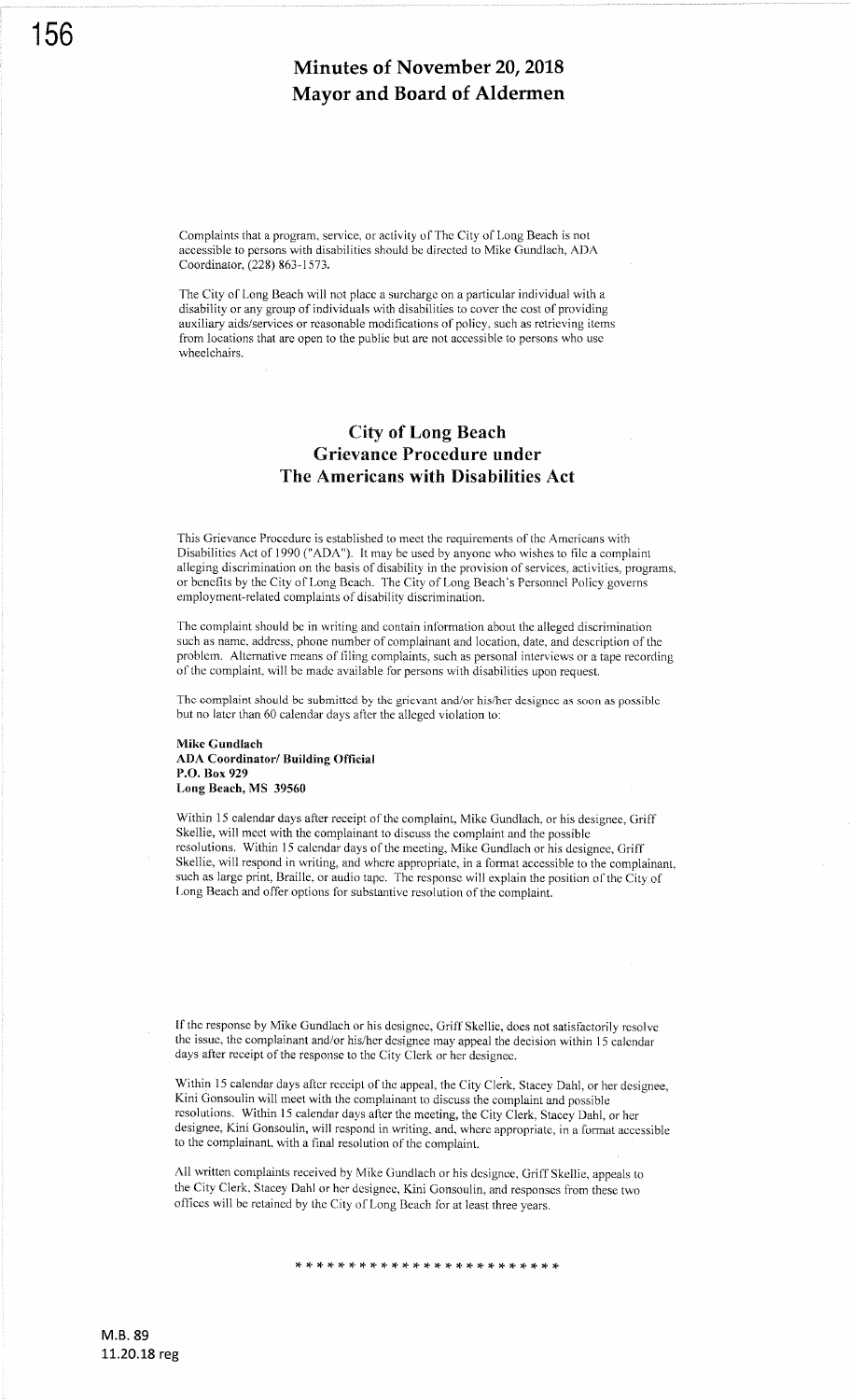Complaints that a program, service, or activity of The City of Long Beach is not accessible to persons with disabilities should be directed to Mike Gundlach, ADA Coordinator, (228) 863- I 573.

The City of Long Beach will not place a surcharge on a particular individual with a disability or any group of individuals with disabilities to cover the cost of providing auxiliary aids/services or reasonable modifications of policy, such as retrieving items from locations that are open to the public but are not accessible to persons who use wheelchairs.

### City of Long Beach Grievance Procedure under The Americans with Disabilities Act

This Grievance Procedure is established to meet the requirements of the Americans with Disabilities Act of 1990 ("ADA'). It may be used by anyone who wishes to file a complaint alleging discrimination on the basis of disability in the provision of services, activities, programs, or benefits by the City of Long Beach. The City of Long Beach's Personnel Policy governs employment-related complaints of disability discrimination.

The complaint should be in writing and contain information about the alleged discrimination such as name, address, phone number of complainant and location, date, and description of the problem. Alternative means of filing complaints, such as personal interviews or a tape recording of the complaint, will be madc available for persons with disabilities upon request.

The complaint should be submitted by the grievant and/or his/her designee as soon as possible but no later than 60 calendar days after the alleged violation to:

#### Mike Gundlach ADA Coordinator/ Building Official P.O. Box 929 Long Beach, MS <sup>39560</sup>

Within 15 calendar days after receipt of the complaint, Mike Gundlach, or his designee, Griff Skellie, will meet with the complainant to discuss the complaint and the possible resolutions. within l5 calendar days of the meeting, Mike Gundlach or his designee, Griff Skellie, will respond in writing, and where appropriate, in a format accessible to the complainant, such as large print, Braille, or audio tape. The rcsponse will explain the position of the City of Long Beach and offer options for substantive resolution of the complaint.

If the response by Mike Gundlach or his designee, Griff Skellie, does not satisfactorily resolve the issue, the complainant and/or his/her designee may appeal the decision within 15 calendar days after receipt of the response to the City Clerk or her designee.

Within 15 calendar days after receipt of the appeal, the City Clerk, Stacey Dahl, or her designee, Kini Gonsoulin will meet with the complainant to discuss the complaint and possible resolutions. Within 15 calendar days after the meeting, the City Clerk, Stacey Dahl, or her designee, Kini Gonsoulin, will respond in writing, and, where appropriate, in a format accessible to the complainant, with a final resolution of the complaint.

All written complaints received by Mike Gundlach or his dcsignee, Griff Skellie, appeals to the city clerk, stacey Dahl or her designee, Kini Gonsoulin, and responses from these two offices will be retained by the City of Long Beach for at least three years.

\* \* rr rF {. )F \* \* rt lt rF \* \* \* \* rF rF rF rF \* \* rt r} rF \*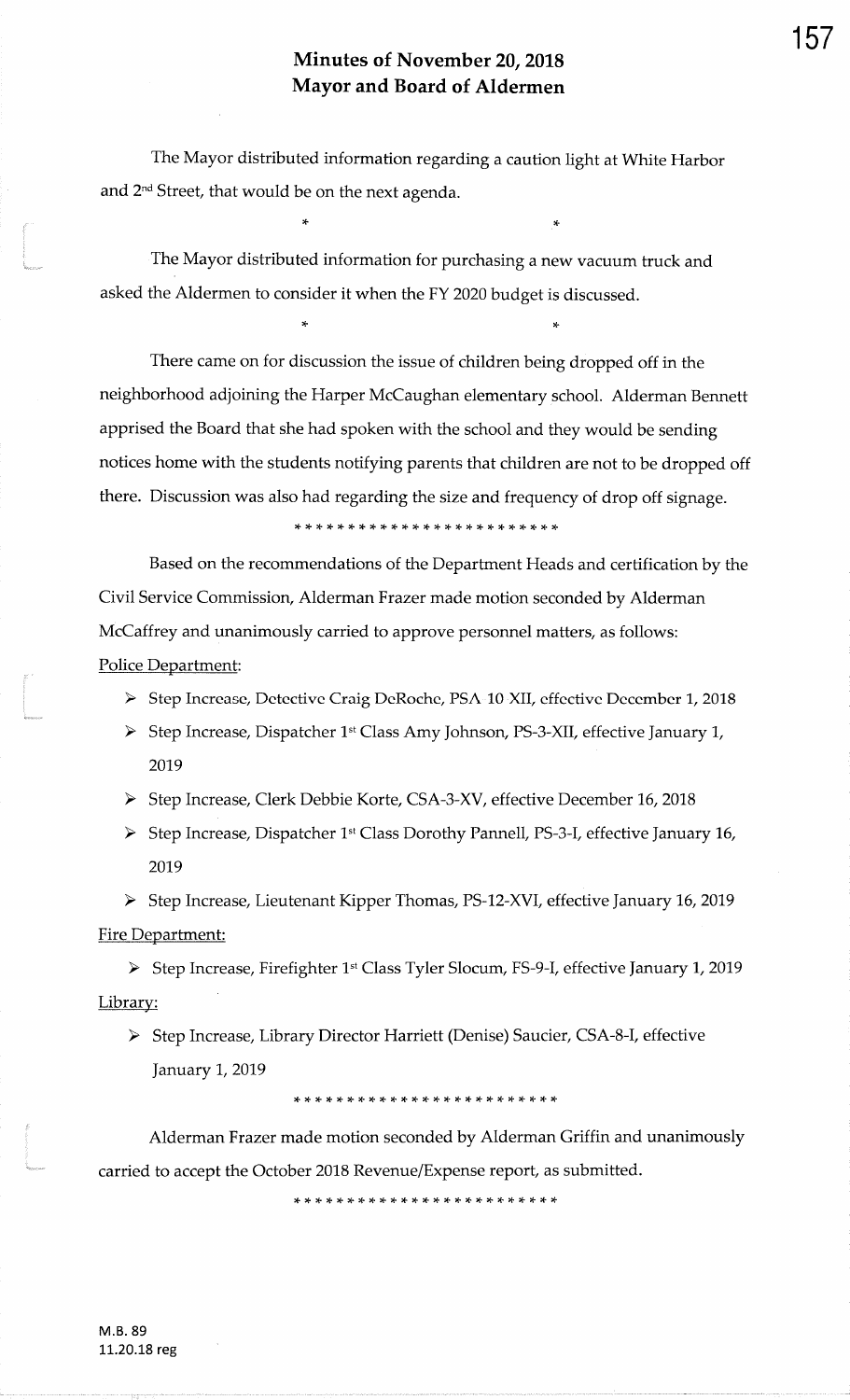The Mayor distributed information regarding a caution light at White Harborand 2<sup>nd</sup> Street, that would be on the next agenda.

rF

 The Mayor distributed information for purchasing a new vacuum truck andasked the Aldermen to consider it when the FY 2020 budget is discussed.

)F

There came on for discussion the issue of children being dropped off in theneighborhood adjoining the Harper McCaughan elementary.school. Alderman Bennettapprised the Board that she had spoken with the school and they would be sendingnotices home with the students notifying parents that children are not to be dropped offthere. Discussion was also had regarding the size and frequency of drop off signage.

)F rF {- \* \* \* \* \* \* \* \* \* ?F rF \* \* \* rF \* \* \* r+ \* )F rF

Based on the recommendations of the Department Heads and certification by theCivil Service Commission, Alderman Frazer made motion seconded by Alderman McCaffrey and unanimously carried to approve personnel matters, as follows:Police Department:

- ▶ Step Increase, Detective Craig DeRoche, PSA-10-XII, effective December 1, 2018
- > Step Increase, Dispatcher 1<sup>st</sup> Class Amy Johnson, PS-3-XII, effective January 1, 2019
- > Step Increase, Clerk Debbie Korte, CSA-3-XV, effective December 16, 2018
- > Step Increase, Dispatcher 1st Class Dorothy Pannell, PS-3-I, effective January 16, 2019

> Step Increase, Lieutenant Kipper Thomas, PS-12-XVI, effective January 16, 2019 <u>Fire Department</u>

> Step Increase, Firefighter 1st Class Tyler Slocum, FS-9-I, effective January 1, 2019 Library:

> Step Increase, Library Director Harriett (Denise) Saucier, CSA-8-I, effective January 1, 2019

\* \* \* rF \* rF )F rF ?F \* rt \* \* \* \* \* \* \* rF )F \* )F rF rt \*

Alderman Frazer made motion seconded by Alderman Griffin and unanimouslycarried to accept the October 2018 Revenue/Expense report, as submitted.

,t rF rT rT rF rt rG \* \* \* \* \* \* \* rT rF rF rF \* \* \* \* \* \* rF

157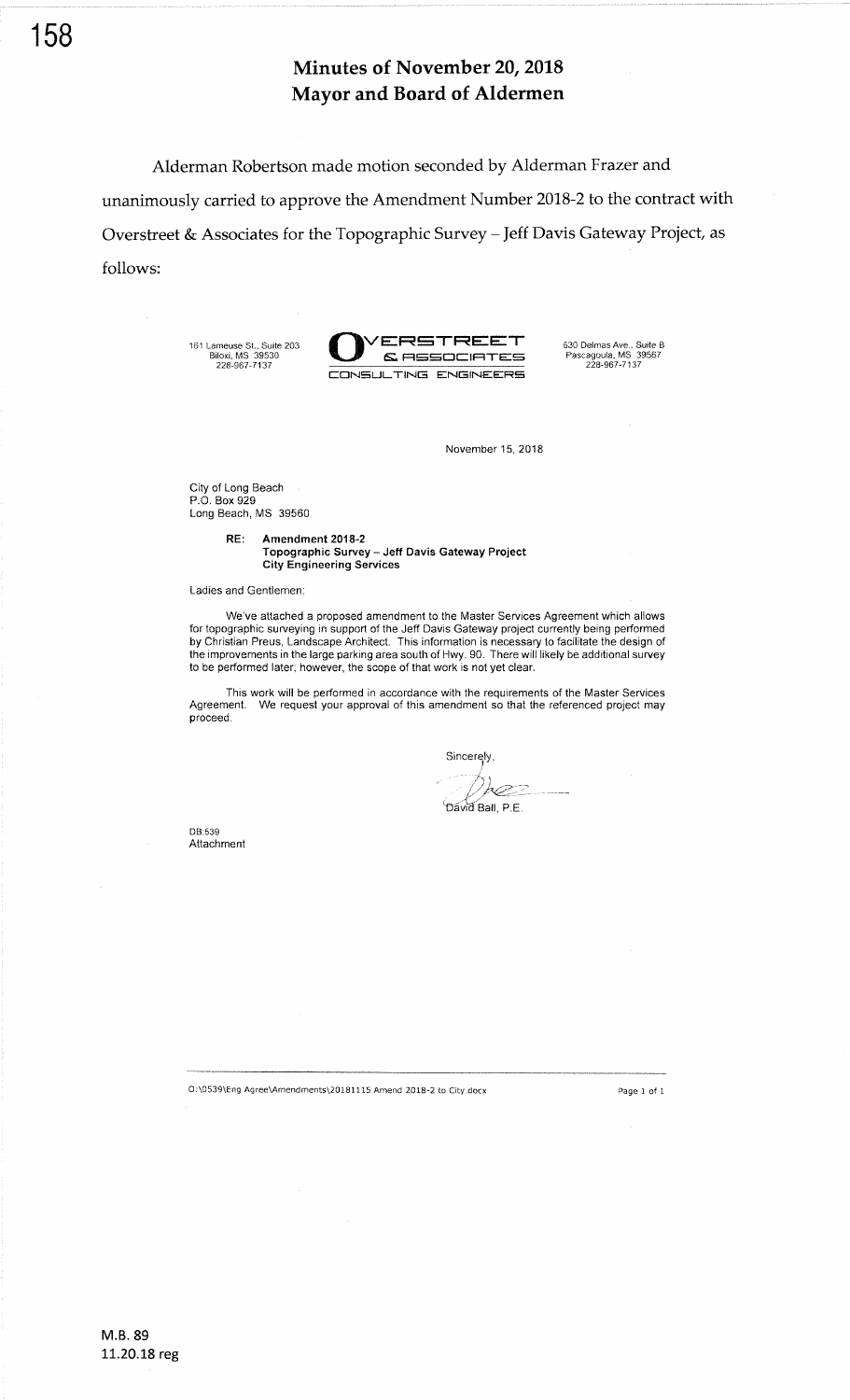Alderman Robertson made motion seconded by Alderman Frazer and unanimously carried to approve the Amendment Number 2018-2 to the contract with Overstreet & Associates for the Topographic Survey - Jeff Davis Gateway Project, as follows:

161 Lameuse St., Suite 203 Biloxi, MS 39530 226-967-7137



November 15,2018

City of Long Beach P.O. Box 929 Long Beach, MS <sup>39560</sup>

> RE: Amendment 2018-2 Topographic Survey - Jeff Davis Gateway Project City Engineering Services

Ladies and Gentlemen

We've attached a proposed amendment to the Master Services Agreement which allows for topographic surveying in support of the Jeff Davis Gateway project currently being performed by Christian Preus, Landscape Architect. This information is necessary to facilitate the design of the improvements in the large parking area south of Hwy. 90. There will likely be additional survey to be performed later; 'however, the scope of that work is not yet clear.

This work will be performed in accordance with the requirements of the Master Services Agreement. We request your approval of this amendment so that the referenced project may proceed.

Sincerely,

David Ball, P.E.

DB:539 Attachment

O:\0539\Eng Agree\Amendments\20181115 Amend 2018-2 to City.docx Page 1 of 1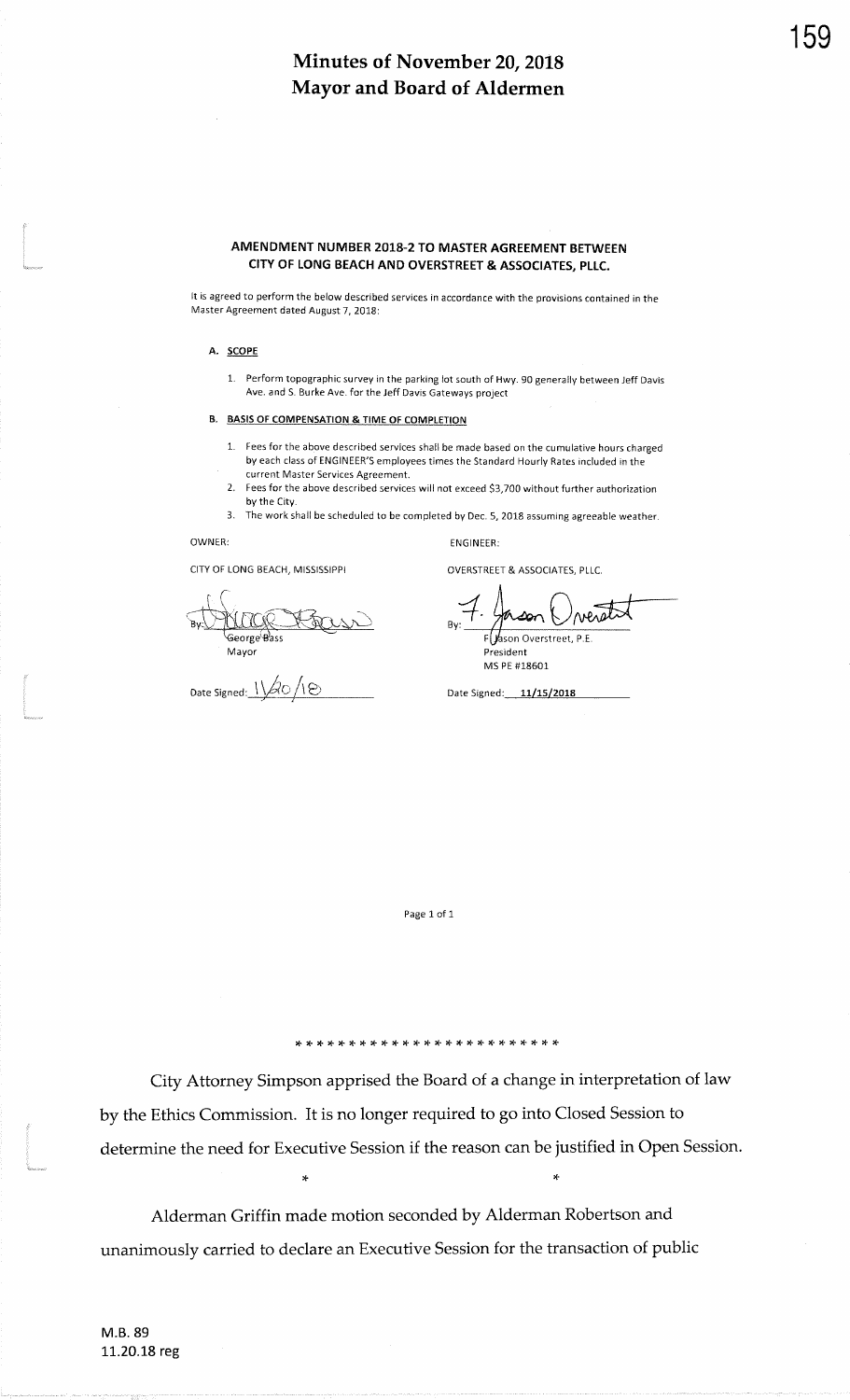#### AMENDMENT NUMBER 2018-2 TO MASTER AGREEMENT BETWEENCITY OF LONG BEACH AND OVERSTREET & ASSOCIATES, PLLC.

It is agreed to perform the below described services in accordance with the provisions contained in theMaster Agreement dated August 7, 2018:

#### A. SCOPE

1. Perform topographic survey in the parking lot south of Hwy. 90 generally between Jeff DavisAve. and S. Burke Ave. for the Jeff Davis Gateways project

#### B. BASIS OF COMPENSATION & TIME OF COMPLETION

- 1. Fees for the above described services shall be made based on the cumulative hours chargedby each class of FNGINEER'S employees times the Standard Hourly Rates included in thecurrent Master Services Agreement.
- 2. Fees for the above described services will not exceed S3,700 without further authorizationby the City.
- 3. The work shall be scheduled to be completed by Dec. 5, 2018 assuming agreeable weathe

ENGINEER:

### OWNER:

CITY OF LONG BEACH, MISSISSIPPI

George'Bass Mayor

Date Signed:  $1/\beta$ O / 1  $\odot$ 

OVERSTREET & ASSOCIATES, PLLC.

**MPARA** ⋙ Overstreet, P.E. President

MS PE #18601

Date Signed: 11/15/2018

Page 1 of 1

'F'F'F'C'C :F'F'F'T'T'F TF )I \* \* \*'F'T'F'T'F \* \* \*'F

City Attorney Simpson apprised the Board of a change in interpretation of lawby the Ethics Commission. It is no longer required to go into Closed Session todetermine the need for Executive Session if the reason can be justified in Open Session.

 $\star$ 

Alderman Griffin made motion seconded by Alderman Robertson andunanimously carried to declare an Executive Session for the transaction of public 159